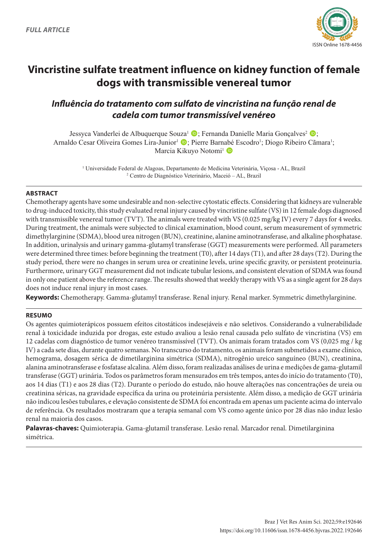

# **Vincristine sulfate treatment influence on kidney function of female dogs with transmissible venereal tumor**

# *Influência do tratamento com sulfato de vincristina na função renal de cadela com tumor transmissível venéreo*

Jessyca Vanderlei de Albuquerque Souza<sup>1</sup> (D; Fernanda Danielle Maria Gonçalves<sup>2</sup> (D; Arnaldo Cesar Oliveira Gomes Lira-Junior<sup>i</sup> D; Pierre Barnabé Escodro<sup>1</sup>; Diogo Ribeiro Cãmara<sup>1</sup>; Marcia Kikuvo Notomi<sup>1</sup> D

> 1 Universidade Federal de Alagoas, Departamento de Medicina Veterinária, Viçosa - AL, Brazil 2 Centro de Diagnóstico Veterinário, Maceió – AL, Brazil

# **ABSTRACT**

Chemotherapy agents have some undesirable and non-selective cytostatic effects. Considering that kidneys are vulnerable to drug-induced toxicity, this study evaluated renal injury caused by vincristine sulfate (VS) in 12 female dogs diagnosed with transmissible venereal tumor (TVT). The animals were treated with VS (0.025 mg/kg IV) every 7 days for 4 weeks. During treatment, the animals were subjected to clinical examination, blood count, serum measurement of symmetric dimethylarginine (SDMA), blood urea nitrogen (BUN), creatinine, alanine aminotransferase, and alkaline phosphatase. In addition, urinalysis and urinary gamma-glutamyl transferase (GGT) measurements were performed. All parameters were determined three times: before beginning the treatment (T0), after 14 days (T1), and after 28 days (T2). During the study period, there were no changes in serum urea or creatinine levels, urine specific gravity, or persistent proteinuria. Furthermore, urinary GGT measurement did not indicate tubular lesions, and consistent elevation of SDMA was found in only one patient above the reference range. The results showed that weekly therapy with VS as a single agent for 28 days does not induce renal injury in most cases.

**Keywords:** Chemotherapy. Gamma-glutamyl transferase. Renal injury. Renal marker. Symmetric dimethylarginine.

# **RESUMO**

Os agentes quimioterápicos possuem efeitos citostáticos indesejáveis e não seletivos. Considerando a vulnerabilidade renal à toxicidade induzida por drogas, este estudo avaliou a lesão renal causada pelo sulfato de vincristina (VS) em 12 cadelas com diagnóstico de tumor venéreo transmissível (TVT). Os animais foram tratados com VS (0,025 mg / kg IV) a cada sete dias, durante quatro semanas. No transcurso do tratamento, os animais foram submetidos a exame clínico, hemograma, dosagem sérica de dimetilarginina simétrica (SDMA), nitrogênio ureico sanguíneo (BUN), creatinina, alanina aminotransferase e fosfatase alcalina. Além disso, foram realizadas análises de urina e medições de gama-glutamil transferase (GGT) urinária. Todos os parâmetros foram mensurados em três tempos, antes do início do tratamento (T0), aos 14 dias (T1) e aos 28 dias (T2). Durante o período do estudo, não houve alterações nas concentrações de ureia ou creatinina séricas, na gravidade específica da urina ou proteinúria persistente. Além disso, a medição de GGT urinária não indicou lesões tubulares, e elevação consistente de SDMA foi encontrada em apenas um paciente acima do intervalo de referência. Os resultados mostraram que a terapia semanal com VS como agente único por 28 dias não induz lesão renal na maioria dos casos.

**Palavras-chaves:** Quimioterapia. Gama-glutamil transferase. Lesão renal. Marcador renal. Dimetilarginina simétrica.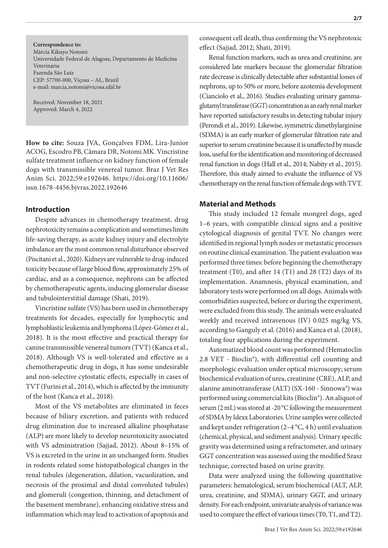Márcia Kikuyo Notomi Universidade Federal de Alagoas, Departamento de Medicina

Fazenda São Luiz CEP: 57700-000, Viçosa – AL, Brazil e-mail: marcia.notomi@vicosa.ufal.br

Received: November 18, 2021 Approved: March 4, 2022

**Correspondence to:**

Veterinária

**How to cite:** Souza JVA, Gonçalves FDM, Lira-Junior ACOG, Escodro PB, Cãmara DR, Notomi MK. Vincristine sulfate treatment influence on kidney function of female dogs with transmissible venereal tumor. Braz J Vet Res Anim Sci. 2022;59:e192646. https://doi.org/10.11606/ issn.1678-4456.bjvras.2022.192646

# **Introduction**

Despite advances in chemotherapy treatment, drug nephrotoxicity remains a complication and sometimes limits life-saving therapy, as acute kidney injury and electrolyte imbalance are the most common renal disturbance observed (Piscitani et al., 2020). Kidneys are vulnerable to drug-induced toxicity because of large blood flow, approximately 25% of cardiac, and as a consequence, nephrons can be affected by chemotherapeutic agents, inducing glomerular disease and tubulointerstitial damage (Shati, 2019).

Vincristine sulfate (VS) has been used in chemotherapy treatments for decades, especially for lymphocytic and lymphoblastic leukemia and lymphoma (López-Gómez et al., 2018). It is the most effective and practical therapy for canine transmissible venereal tumors (TVT) (Kanca et al., 2018). Although VS is well-tolerated and effective as a chemotherapeutic drug in dogs, it has some undesirable and non-selective cytostatic effects, especially in cases of TVT (Furini et al., 2014), which is affected by the immunity of the host (Kanca et al., 2018).

Most of the VS metabolites are eliminated in feces because of biliary excretion, and patients with reduced drug elimination due to increased alkaline phosphatase (ALP) are more likely to develop neurotoxicity associated with VS administration (Sajjad, 2012). About 8–15% of VS is excreted in the urine in an unchanged form. Studies in rodents related some histopathological changes in the renal tubules (degeneration, dilation, vacuolization, and necrosis of the proximal and distal convoluted tubules) and glomeruli (congestion, thinning, and detachment of the basement membrane), enhancing oxidative stress and inflammation which may lead to activation of apoptosis and

consequent cell death, thus confirming the VS nephrotoxic effect (Sajjad, 2012; Shati, 2019).

Renal function markers, such as urea and creatinine, are considered late markers because the glomerular filtration rate decrease is clinically detectable after substantial losses of nephrons, up to 50% or more, before azotemia development (Cianciolo et al., 2016). Studies evaluating urinary gammaglutamyl transferase (GGT) concentration as an early renal marker have reported satisfactory results in detecting tubular injury (Perondi et al., 2019). Likewise, symmetric dimethylarginine (SDMA) is an early marker of glomerular filtration rate and superior to serum creatinine because it is unaffected by muscle loss, useful for the identification and monitoring of decreased renal function in dogs (Hall et al., 2014; Nabity et al., 2015). Therefore, this study aimed to evaluate the influence of VS chemotherapy on the renal function of female dogs with TVT.

# **Material and Methods**

This study included 12 female mongrel dogs, aged 1–6 years, with compatible clinical signs and a positive cytological diagnosis of genital TVT. No changes were identified in regional lymph nodes or metastatic processes on routine clinical examination. The patient evaluation was performed three times: before beginning the chemotherapy treatment (T0), and after 14 (T1) and 28 (T2) days of its implementation. Anamnesis, physical examination, and laboratory tests were performed on all dogs. Animals with comorbidities suspected, before or during the experiment, were excluded from this study. The animals were evaluated weekly and received intravenous (IV) 0.025 mg/kg VS, according to Ganguly et al. (2016) and Kanca et al. (2018), totaling four applications during the experiment.

Automatized blood count was performed (Hematoclin 2.8 VET - Bioclin®), with differential cell counting and morphologic evaluation under optical microscopy; serum biochemical evaluation of urea, creatinine (CRE), ALP, and alanine aminotransferase (ALT) (SX-160 - Sinnowa®) was performed using commercial kits (Bioclin®). An aliquot of serum (2 mL) was stored at -20 °C following the measurement of SDMA by Idexx Laboratories. Urine samples were collected and kept under refrigeration (2–4 °C, 4 h) until evaluation (chemical, physical, and sediment analysis). Urinary specific gravity was determined using a refractometer, and urinary GGT concentration was assessed using the modified Szasz technique, corrected based on urine gravity.

Data were analyzed using the following quantitative parameters: hematological, serum biochemical (ALT, ALP, urea, creatinine, and SDMA), urinary GGT, and urinary density. For each endpoint, univariate analysis of variance was used to compare the effect of various times (T0, T1, and T2).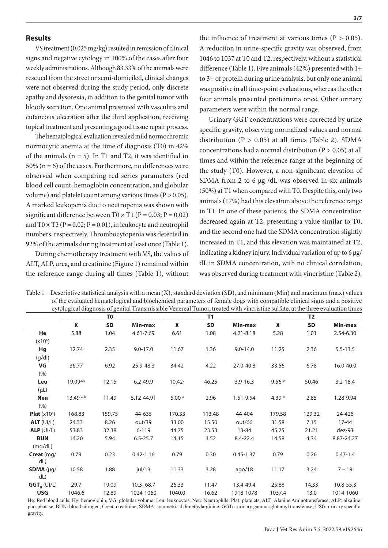## **Results**

VS treatment (0.025 mg/kg) resulted in remission of clinical signs and negative cytology in 100% of the cases after four weekly administrations. Although 83.33% of the animals were rescued from the street or semi-domiciled, clinical changes were not observed during the study period, only discrete apathy and dysorexia, in addition to the genital tumor with bloody secretion. One animal presented with vasculitis and cutaneous ulceration after the third application, receiving topical treatment and presenting a good tissue repair process.

The hematological evaluation revealed mild normochromic normocytic anemia at the time of diagnosis (T0) in 42% of the animals  $(n = 5)$ . In T1 and T2, it was identified in 50% ( $n = 6$ ) of the cases. Furthermore, no differences were observed when comparing red series parameters (red blood cell count, hemoglobin concentration, and globular volume) and platelet count among various times ( $P > 0.05$ ). A marked leukopenia due to neutropenia was shown with significant difference between  $T0 \times T1$  (P = 0.03; P = 0.02) and  $T0 \times T2$  (P = 0.02; P = 0.01), in leukocyte and neutrophil numbers, respectively. Thrombocytopenia was detected in 92% of the animals during treatment at least once (Table 1).

During chemotherapy treatment with VS, the values of ALT, ALP, urea, and creatinine (Figure 1) remained within the reference range during all times (Table 1), without

the influence of treatment at various times ( $P > 0.05$ ). A reduction in urine-specific gravity was observed, from 1046 to 1037 at T0 and T2, respectively, without a statistical difference (Table 1). Five animals (42%) presented with 1+ to 3+ of protein during urine analysis, but only one animal was positive in all time-point evaluations, whereas the other four animals presented proteinuria once. Other urinary parameters were within the normal range.

Urinary GGT concentrations were corrected by urine specific gravity, observing normalized values and normal distribution  $(P > 0.05)$  at all times (Table 2). SDMA concentrations had a normal distribution (P > 0.05) at all times and within the reference range at the beginning of the study (T0). However, a non-significant elevation of SDMA from 2 to 6 µg /dL was observed in six animals (50%) at T1 when compared with T0. Despite this, only two animals (17%) had this elevation above the reference range in T1. In one of these patients, the SDMA concentration decreased again at T2, presenting a value similar to T0, and the second one had the SDMA concentration slightly increased in T1, and this elevation was maintained at T2, indicating a kidney injury. Individual variation of up to 6 µg/ dL in SDMA concentration, with no clinical correlation, was observed during treatment with vincristine (Table 2).

|                        | e flore changinosis of german framsmissione venerear famor, a calcumentin vincristme samate, at the unce evaluation unics<br>T <sub>0</sub> |           |               | T1                |           |               | <b>T2</b>         |           |              |
|------------------------|---------------------------------------------------------------------------------------------------------------------------------------------|-----------|---------------|-------------------|-----------|---------------|-------------------|-----------|--------------|
|                        | X                                                                                                                                           | <b>SD</b> | Min-max       | X                 | <b>SD</b> | Min-max       | X                 | <b>SD</b> | Min-max      |
| He                     | 5.88                                                                                                                                        | 1.04      | 4.61-7.69     | 6.61              | 1.08      | $4.21 - 8.18$ | 5.28              | 1.01      | 2.54-6.30    |
| (x10 <sup>6</sup> )    |                                                                                                                                             |           |               |                   |           |               |                   |           |              |
| Hg                     | 12.74                                                                                                                                       | 2.35      | $9.0 - 17.0$  | 11.67             | 1.36      | $9.0 - 14.0$  | 11.25             | 2.36      | $5.5 - 13.5$ |
| (g/dl)                 |                                                                                                                                             |           |               |                   |           |               |                   |           |              |
| VG                     | 36.77                                                                                                                                       | 6.92      | 25.9-48.3     | 34.42             | 4.22      | 27.0-40.8     | 33.56             | 6.78      | 16.0-40.0    |
| (%)                    |                                                                                                                                             |           |               |                   |           |               |                   |           |              |
| Leu                    | $19.09$ <sub>a.b</sub>                                                                                                                      | 12.15     | $6.2 - 49.9$  | $10.42^{\circ}$   | 46.25     | $3.9 - 16.3$  | 9.56 <sup>b</sup> | 50.46     | $3.2 - 18.4$ |
| $(\mu L)$              |                                                                                                                                             |           |               |                   |           |               |                   |           |              |
| <b>Neu</b>             | $13.49^{ a.b}$                                                                                                                              | 11.49     | 5.12-44.91    | 5.00 <sup>a</sup> | 2.96      | 1.51-9.54     | 4.39 $b$          | 2.85      | 1.28-9.94    |
| (% )                   |                                                                                                                                             |           |               |                   |           |               |                   |           |              |
| <b>Plat</b> $(x10^3)$  | 168.83                                                                                                                                      | 159.75    | 44-635        | 170.33            | 113.48    | 44-404        | 179.58            | 129.32    | 24-426       |
| $ALT$ (UI/L)           | 24.33                                                                                                                                       | 8.26      | out/39        | 33.00             | 15.50     | out/66        | 31.58             | 7.15      | $17 - 44$    |
| ALP (UI/L)             | 53.83                                                                                                                                       | 32.38     | $6 - 119$     | 44.75             | 23.53     | 13-84         | 45.75             | 21.21     | dez/93       |
| <b>BUN</b>             | 14.20                                                                                                                                       | 5.94      | $6.5 - 25.7$  | 14.15             | 4.52      | $8.4 - 22.4$  | 14.58             | 4.34      | 8.87-24.27   |
| (mg/dL)                |                                                                                                                                             |           |               |                   |           |               |                   |           |              |
| Creat (mg/             | 0.79                                                                                                                                        | 0.23      | $0.42 - 1.16$ | 0.79              | 0.30      | $0.45 - 1.37$ | 0.79              | 0.26      | $0.47 - 1.4$ |
| dL)                    |                                                                                                                                             |           |               |                   |           |               |                   |           |              |
| <b>SDMA</b> ( $\mu$ g/ | 10.58                                                                                                                                       | 1.88      | jul/13        | 11.33             | 3.28      | ago/18        | 11.17             | 3.24      | $7 - 19$     |
| dL                     |                                                                                                                                             |           |               |                   |           |               |                   |           |              |
| $GGT_{\text{u}}(UI/L)$ | 29.7                                                                                                                                        | 19.09     | $10.3 - 68.7$ | 26.33             | 11.47     | 13.4-49.4     | 25.88             | 14.33     | 10.8-55.3    |
| <b>USG</b>             | 1046.6                                                                                                                                      | 12.89     | 1024-1060     | 1040.0            | 16.62     | 1918-1078     | 1037.4            | 13.0      | 1014-1060    |

Table  $1$  – Descriptive statistical analysis with a mean  $(X)$ , standard deviation  $(SD)$ , and minimum  $(Min)$  and maximum (max) values of the evaluated hematological and biochemical parameters of female dogs with compatible clinical signs and a positive cytological diagnosis of genital Transmissible Venereal Tumor, treated with vincristine sulfate, at the three evaluation times

He: Red blood cells; Hg: hemoglobin, VG: globular volume; Leu: leukocytes; Neu: Neutrophils; Plat: platelets; ALT: Alanine Aminotransferase; ALP: alkaline phosphatase; BUN: blood nitrogen; Creat: creatinine; SDMA: symmetrical dimethylarginine; GGTu: urinary gamma-glutamyl transferase; USG: urinary specific gravity.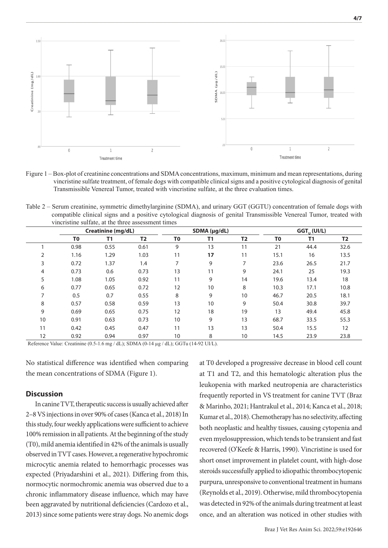

Figure 1 – Box-plot of creatinine concentrations and SDMA concentrations, maximum, minimum and mean representations, during vincristine sulfate treatment, of female dogs with compatible clinical signs and a positive cytological diagnosis of genital Transmissible Venereal Tumor, treated with vincristine sulfate, at the three evaluation times.

Table 2 – Serum creatinine, symmetric dimethylarginine (SDMA), and urinary GGT (GGTU) concentration of female dogs with compatible clinical signs and a positive cytological diagnosis of genital Transmissible Venereal Tumor, treated with vincristine sulfate, at the three assessment times

|                | Creatinine (mg/dL) |      |                | SDMA (µg/dL)   |    |                | $GGT_{\ldots}$ (UI/L) |      |           |
|----------------|--------------------|------|----------------|----------------|----|----------------|-----------------------|------|-----------|
|                | T <sub>0</sub>     | T1   | T <sub>2</sub> | T <sub>0</sub> | T1 | T <sub>2</sub> | T <sub>0</sub>        | T1   | <b>T2</b> |
|                | 0.98               | 0.55 | 0.61           | 9              | 13 | 11             | 21                    | 44.4 | 32.6      |
| 2              | 1.16               | 1.29 | 1.03           | 11             | 17 | 11             | 15.1                  | 16   | 13.5      |
| 3              | 0.72               | 1.37 | 1.4            | 7              | 9  | 7              | 23.6                  | 26.5 | 21.7      |
| 4              | 0.73               | 0.6  | 0.73           | 13             | 11 | 9              | 24.1                  | 25   | 19.3      |
| 5              | 1.08               | 1.05 | 0.92           | 11             | 9  | 14             | 19.6                  | 13.4 | 18        |
| 6              | 0.77               | 0.65 | 0.72           | 12             | 10 | 8              | 10.3                  | 17.1 | 10.8      |
| $\overline{ }$ | 0.5                | 0.7  | 0.55           | 8              | 9  | 10             | 46.7                  | 20.5 | 18.1      |
| 8              | 0.57               | 0.58 | 0.59           | 13             | 10 | 9              | 50.4                  | 30.8 | 39.7      |
| 9              | 0.69               | 0.65 | 0.75           | 12             | 18 | 19             | 13                    | 49.4 | 45.8      |
| 10             | 0.91               | 0.63 | 0.73           | 10             | 9  | 13             | 68.7                  | 33.5 | 55.3      |
| 11             | 0.42               | 0.45 | 0.47           | 11             | 13 | 13             | 50.4                  | 15.5 | 12        |
| 12             | 0.92               | 0.94 | 0.97           | 10             | 8  | 10             | 14.5                  | 23.9 | 23.8      |

Reference Value: Creatinine (0.5-1.6 mg / dL); SDMA (0-14 µg / dL); GGTu (14-92 UI/L).

No statistical difference was identified when comparing the mean concentrations of SDMA (Figure 1).

#### **Discussion**

In canine TVT, therapeutic success is usually achieved after 2–8 VS injections in over 90% of cases (Kanca et al., 2018) In this study, four weekly applications were sufficient to achieve 100% remission in all patients. At the beginning of the study (T0), mild anemia identified in 42% of the animals is usually observed in TVT cases. However, a regenerative hypochromic microcytic anemia related to hemorrhagic processes was expected (Priyadarshini et al., 2021). Differing from this, normocytic normochromic anemia was observed due to a chronic inflammatory disease influence, which may have been aggravated by nutritional deficiencies (Cardozo et al., 2013) since some patients were stray dogs. No anemic dogs

at T0 developed a progressive decrease in blood cell count at T1 and T2, and this hematologic alteration plus the leukopenia with marked neutropenia are characteristics frequently reported in VS treatment for canine TVT (Braz & Marinho, 2021; Hantrakul et al., 2014; Kanca et al., 2018; Kumar et al., 2018). Chemotherapy has no selectivity, affecting both neoplastic and healthy tissues, causing cytopenia and even myelosuppression, which tends to be transient and fast recovered (O'Keefe & Harris, 1990). Vincristine is used for short onset improvement in platelet count, with high-dose steroids successfully applied to idiopathic thrombocytopenic purpura, unresponsive to conventional treatment in humans (Reynolds et al., 2019). Otherwise, mild thrombocytopenia was detected in 92% of the animals during treatment at least once, and an alteration was noticed in other studies with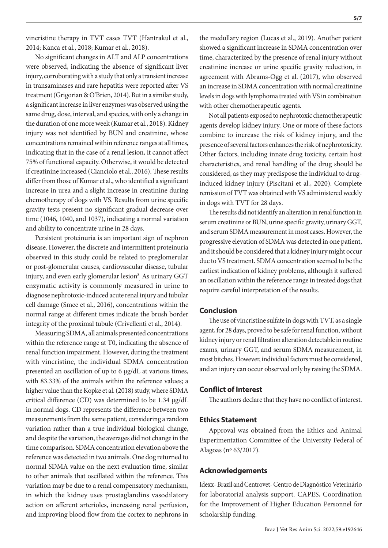vincristine therapy in TVT cases TVT (Hantrakul et al., 2014; Kanca et al., 2018; Kumar et al., 2018).

No significant changes in ALT and ALP concentrations were observed, indicating the absence of significant liver injury, corroborating with a study that only a transient increase in transaminases and rare hepatitis were reported after VS treatment (Grigorian & O'Brien, 2014). But in a similar study, a significant increase in liver enzymes was observed using the same drug, dose, interval, and species, with only a change in the duration of one more week (Kumar et al., 2018). Kidney injury was not identified by BUN and creatinine, whose concentrations remained within reference ranges at all times, indicating that in the case of a renal lesion, it cannot affect 75% of functional capacity. Otherwise, it would be detected if creatinine increased (Cianciolo et al., 2016). These results differ from those of Kumar et al., who identified a significant increase in urea and a slight increase in creatinine during chemotherapy of dogs with VS. Results from urine specific gravity tests present no significant gradual decrease over time (1046, 1040, and 1037), indicating a normal variation and ability to concentrate urine in 28 days.

Persistent proteinuria is an important sign of nephron disease. However, the discrete and intermittent proteinuria observed in this study could be related to preglomerular or post-glomerular causes, cardiovascular disease, tubular injury, and even early glomerular lesion $^8$  As urinary GGT enzymatic activity is commonly measured in urine to diagnose nephrotoxic-induced acute renal injury and tubular cell damage (Smee et al., 2016), concentrations within the normal range at different times indicate the brush border integrity of the proximal tubule (Crivellenti et al., 2014).

Measuring SDMA, all animals presented concentrations within the reference range at T0, indicating the absence of renal function impairment. However, during the treatment with vincristine, the individual SDMA concentration presented an oscillation of up to 6 µg/dL at various times, with 83.33% of the animals within the reference values; a higher value than the Kopke et al. (2018) study, where SDMA critical difference (CD) was determined to be 1.34 µg/dL in normal dogs. CD represents the difference between two measurements from the same patient, considering a random variation rather than a true individual biological change, and despite the variation, the averages did not change in the time comparison. SDMA concentration elevation above the reference was detected in two animals. One dog returned to normal SDMA value on the next evaluation time, similar to other animals that oscillated within the reference. This variation may be due to a renal compensatory mechanism, in which the kidney uses prostaglandins vasodilatory action on afferent arterioles, increasing renal perfusion, and improving blood flow from the cortex to nephrons in

the medullary region (Lucas et al., 2019). Another patient showed a significant increase in SDMA concentration over time, characterized by the presence of renal injury without creatinine increase or urine specific gravity reduction, in agreement with Abrams-Ogg et al. (2017), who observed an increase in SDMA concentration with normal creatinine levels in dogs with lymphoma treated with VS in combination with other chemotherapeutic agents.

Not all patients exposed to nephrotoxic chemotherapeutic agents develop kidney injury. One or more of these factors combine to increase the risk of kidney injury, and the presence of several factors enhances the risk of nephrotoxicity. Other factors, including innate drug toxicity, certain host characteristics, and renal handling of the drug should be considered, as they may predispose the individual to druginduced kidney injury (Piscitani et al., 2020). Complete remission of TVT was obtained with VS administered weekly in dogs with TVT for 28 days.

The results did not identify an alteration in renal function in serum creatinine or BUN, urine specific gravity, urinary GGT, and serum SDMA measurement in most cases. However, the progressive elevation of SDMA was detected in one patient, and it should be considered that a kidney injury might occur due to VS treatment. SDMA concentration seemed to be the earliest indication of kidney problems, although it suffered an oscillation within the reference range in treated dogs that require careful interpretation of the results.

# **Conclusion**

The use of vincristine sulfate in dogs with TVT, as a single agent, for 28 days, proved to be safe for renal function, without kidney injury or renal filtration alteration detectable in routine exams, urinary GGT, and serum SDMA measurement, in most bitches. However, individual factors must be considered, and an injury can occur observed only by raising the SDMA.

## **Conflict of Interest**

The authors declare that they have no conflict of interest.

#### **Ethics Statement**

Approval was obtained from the Ethics and Animal Experimentation Committee of the University Federal of Alagoas (nº 63/2017).

#### **Acknowledgements**

Idexx- Brazil and Centrovet- Centro de Diagnóstico Veterinário for laboratorial analysis support. CAPES, Coordination for the Improvement of Higher Education Personnel for scholarship funding.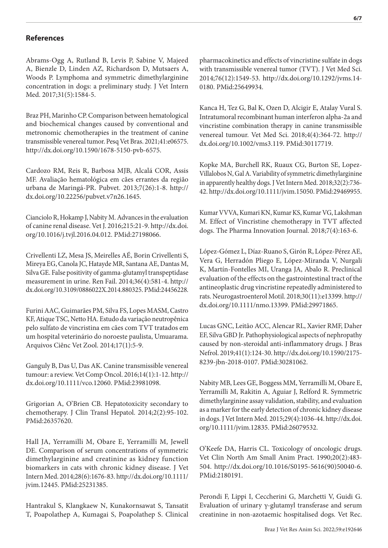# **References**

Abrams-Ogg A, Rutland B, Levis P, Sabine V, Majeed A, Bienzle D, Linden AZ, Richardson D, Mutsaers A, Woods P. Lymphoma and symmetric dimethylarginine concentration in dogs: a preliminary study. J Vet Intern Med. 2017;31(5):1584-5.

Braz PH, Marinho CP. Comparison between hematological and biochemical changes caused by conventional and metronomic chemotherapies in the treatment of canine transmissible venereal tumor. Pesq Vet Bras. 2021;41:e06575. http://dx.doi.org/10.1590/1678-5150-pvb-6575.

Cardozo RM, Reis R, Barbosa MJB, Alcalá COR, Assis MF. Avaliação hematológica em cães errantes da região urbana de Maringá-PR. Pubvet. 2013;7(26):1-8. [http://](http://dx.doi.org/10.22256/pubvet.v7n26.1645) [dx.doi.org/10.22256/pubvet.v7n26.1645](http://dx.doi.org/10.22256/pubvet.v7n26.1645).

Cianciolo R, Hokamp J, Nabity M. Advances in the evaluation of canine renal disease. Vet J. 2016;215:21-9. [http://dx.doi.](http://dx.doi.org/10.1016/j.tvjl.2016.04.012. PMid:27198066) [org/10.1016/j.tvjl.2016.04.012. PMid:27198066](http://dx.doi.org/10.1016/j.tvjl.2016.04.012. PMid:27198066).

Crivellenti LZ, Mesa JS, Meirelles AÉ, Borin Crivellenti S, Mireya EG, Canola JC, Hatayde MR, Santana AE, Dantas M, Silva GE. False positivity of gamma-glutamyl transpeptidase measurement in urine. Ren Fail. 2014;36(4):581-4. [http://](http://dx.doi.org/10.3109/0886022X.2014.880325. PMid:24456228) [dx.doi.org/10.3109/0886022X.2014.880325. PMid:24456228.](http://dx.doi.org/10.3109/0886022X.2014.880325. PMid:24456228)

Furini AAC, Guimarães PM, Silva FS, Lopes MASM, Castro KF, Atique TSC, Netto HA. Estudo da variação neutropênica pelo sulfato de vincristina em cães com TVT tratados em um hospital veterinário do noroeste paulista, Umuarama. Arquivos Ciênc Vet Zool. 2014;17(1):5-9.

Ganguly B, Das U, Das AK. Canine transmissible venereal tumour: a review. Vet Comp Oncol. 2016;14(1):1-12. [http://](http://dx.doi.org/10.1111/vco.12060) [dx.doi.org/10.1111/vco.12060.](http://dx.doi.org/10.1111/vco.12060) PMid:23981098.

Grigorian A, O'Brien CB. Hepatotoxicity secondary to chemotherapy. J Clin Transl Hepatol. 2014;2(2):95-102. PMid:26357620.

Hall JA, Yerramilli M, Obare E, Yerramilli M, Jewell DE. Comparison of serum concentrations of symmetric dimethylarginine and creatinine as kidney function biomarkers in cats with chronic kidney disease. J Vet Intern Med. 2014;28(6):1676-83. [http://dx.doi.org/10.1111/](http://dx.doi.org/10.1111/jvim.12445. PMid:25231385) [jvim.12445. PMid:25231385.](http://dx.doi.org/10.1111/jvim.12445. PMid:25231385)

Hantrakul S, Klangkaew N, Kunakornsawat S, Tansatit T, Poapolathep A, Kumagai S, Poapolathep S. Clinical

pharmacokinetics and effects of vincristine sulfate in dogs with transmissible venereal tumor (TVT). J Vet Med Sci. 2014;76(12):1549-53. [http://dx.doi.org/10.1292/jvms.14-](http://dx.doi.org/10.1292/jvms.14-0180) [0180](http://dx.doi.org/10.1292/jvms.14-0180). PMid:25649934.

Kanca H, Tez G, Bal K, Ozen D, Alcigir E, Atalay Vural S. Intratumoral recombinant human interferon alpha-2a and vincristine combination therapy in canine transmissible venereal tumour. Vet Med Sci. 2018;4(4):364-72. [http://](http://dx.doi.org/10.1002/vms3.119) [dx.doi.org/10.1002/vms3.119](http://dx.doi.org/10.1002/vms3.119). PMid:30117719[.](https://www.ncbi.nlm.nih.gov/entrez/query.fcgi?cmd=Retrieve&db=PubMed&list_uids=30117719&dopt=Abstract)

Kopke MA, Burchell RK, Ruaux CG, Burton SE, Lopez-Villalobos N, Gal A. Variability of symmetric dimethylarginine in apparently healthy dogs. J Vet Intern Med. 2018;32(2):736- 42. http://dx.doi.org/10.1111/jvim.15050. PMid:29469955.

Kumar VVVA, Kumari KN, Kumar KS, Kumar VG, Lakshman M. Effect of Vincristine chemotherapy in TVT affected dogs. The Pharma Innovation Journal. 2018;7(4):163-6.

López-Gómez L, Díaz-Ruano S, Girón R, López-Pérez AE, Vera G, Herradón Pliego E, López-Miranda V, Nurgali K, Martín-Fontelles MI, Uranga JA, Abalo R. Preclinical evaluation of the effects on the gastrointestinal tract of the antineoplastic drug vincristine repeatedly administered to rats. Neurogastroenterol Motil. 2018;30(11):e13399. [http://](http://dx.doi.org/10.1111/nmo.13399) [dx.doi.org/10.1111/nmo.13399.](http://dx.doi.org/10.1111/nmo.13399) PMid:29971865.

Lucas GNC, Leitão ACC, Alencar RL, Xavier RMF, Daher EF, Silva GBD Jr. Pathophysiological aspects of nephropathy caused by non-steroidal anti-inflammatory drugs. J Bras Nefrol. 2019;41(1):124-30. [http://dx.doi.org/10.1590/2175-](http://dx.doi.org/10.1590/2175-8239-jbn-2018-0107) [8239-jbn-2018-0107.](http://dx.doi.org/10.1590/2175-8239-jbn-2018-0107) PMid:30281062.

Nabity MB, Lees GE, Boggess MM, Yerramilli M, Obare E, Yerramilli M, Rakitin A, Aguiar J, Relford R. Symmetric dimethylarginine assay validation, stability, and evaluation as a marker for the early detection of chronic kidney disease in dogs. J Vet Intern Med. 2015;29(4):1036-44. [http://dx.doi.](http://dx.doi.org/10.1111/jvim.12835) [org/10.1111/jvim.12835](http://dx.doi.org/10.1111/jvim.12835). PMid:26079532.

O'Keefe DA, Harris CL. Toxicology of oncologic drugs. Vet Clin North Am Small Anim Pract. 1990;20(2):483- 504. http://dx.doi.org/10.1016/S0195-5616(90)50040-6. PMid:2180191.

Perondi F, Lippi I, Ceccherini G, Marchetti V, Guidi G. Evaluation of urinary γ-glutamyl transferase and serum creatinine in non-azotaemic hospitalised dogs. Vet Rec.